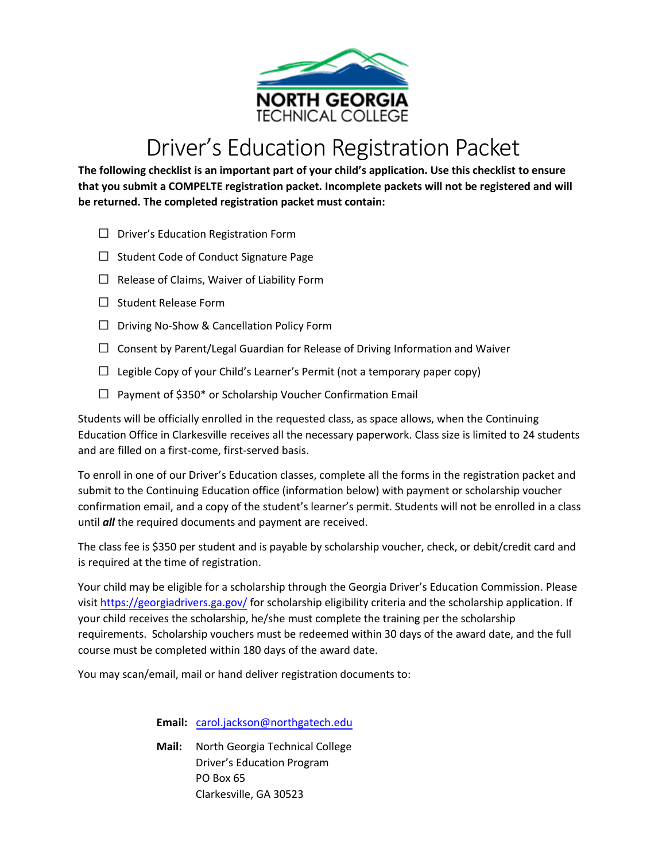

## Driver's Education Registration Packet

**The following checklist is an important part of your child's application. Use this checklist to ensure that you submit a COMPELTE registration packet. Incomplete packets will not be registered and will be returned. The completed registration packet must contain:** 

- $\Box$  Driver's Education Registration Form
- $\Box$  Student Code of Conduct Signature Page
- $\Box$  Release of Claims, Waiver of Liability Form
- $\Box$  Student Release Form
- □ Driving No-Show & Cancellation Policy Form
- $\Box$  Consent by Parent/Legal Guardian for Release of Driving Information and Waiver
- $\Box$  Legible Copy of your Child's Learner's Permit (not a temporary paper copy)
- $\Box$  Payment of \$350\* or Scholarship Voucher Confirmation Email

Students will be officially enrolled in the requested class, as space allows, when the Continuing Education Office in Clarkesville receives all the necessary paperwork. Class size is limited to 24 students and are filled on a first-come, first-served basis.

To enroll in one of our Driver's Education classes, complete all the forms in the registration packet and submit to the Continuing Education office (information below) with payment or scholarship voucher confirmation email, and a copy of the student's learner's permit. Students will not be enrolled in a class until *all* the required documents and payment are received.

The class fee is \$350 per student and is payable by scholarship voucher, check, or debit/credit card and is required at the time of registration.

Your child may be eligible for a scholarship through the Georgia Driver's Education Commission. Please visit <https://georgiadrivers.ga.gov/> for scholarship eligibility criteria and the scholarship application. If your child receives the scholarship, he/she must complete the training per the scholarship requirements. Scholarship vouchers must be redeemed within 30 days of the award date, and the full course must be completed within 180 days of the award date.

You may scan/email, m[ail or hand deliver](mailto:jenrette.fowler@northgatech.edu) registration documents to:

**Email:** [carol.jackson@northgatech.edu](mailto:carol.jackson@northgatech.edu)

**Mail:** North Georgia Technical College Driver's Education Program PO Box 65 Clarkesville, GA 30523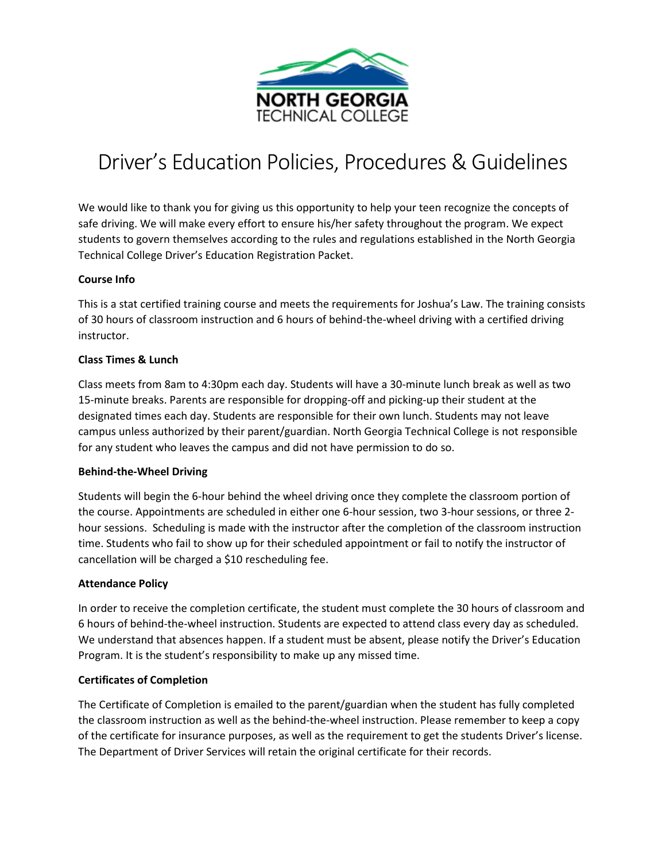

# Driver's Education Policies, Procedures & Guidelines

We would like to thank you for giving us this opportunity to help your teen recognize the concepts of safe driving. We will make every effort to ensure his/her safety throughout the program. We expect students to govern themselves according to the rules and regulations established in the North Georgia Technical College Driver's Education Registration Packet.

#### **Course Info**

This is a stat certified training course and meets the requirements for Joshua's Law. The training consists of 30 hours of classroom instruction and 6 hours of behind-the-wheel driving with a certified driving instructor.

#### **Class Times & Lunch**

Class meets from 8am to 4:30pm each day. Students will have a 30-minute lunch break as well as two 15-minute breaks. Parents are responsible for dropping-off and picking-up their student at the designated times each day. Students are responsible for their own lunch. Students may not leave campus unless authorized by their parent/guardian. North Georgia Technical College is not responsible for any student who leaves the campus and did not have permission to do so.

#### **Behind-the-Wheel Driving**

Students will begin the 6-hour behind the wheel driving once they complete the classroom portion of the course. Appointments are scheduled in either one 6-hour session, two 3-hour sessions, or three 2 hour sessions. Scheduling is made with the instructor after the completion of the classroom instruction time. Students who fail to show up for their scheduled appointment or fail to notify the instructor of cancellation will be charged a \$10 rescheduling fee.

#### **Attendance Policy**

In order to receive the completion certificate, the student must complete the 30 hours of classroom and 6 hours of behind-the-wheel instruction. Students are expected to attend class every day as scheduled. We understand that absences happen. If a student must be absent, please notify the Driver's Education Program. It is the student's responsibility to make up any missed time.

#### **Certificates of Completion**

The Certificate of Completion is emailed to the parent/guardian when the student has fully completed the classroom instruction as well as the behind-the-wheel instruction. Please remember to keep a copy of the certificate for insurance purposes, as well as the requirement to get the students Driver's license. The Department of Driver Services will retain the original certificate for their records.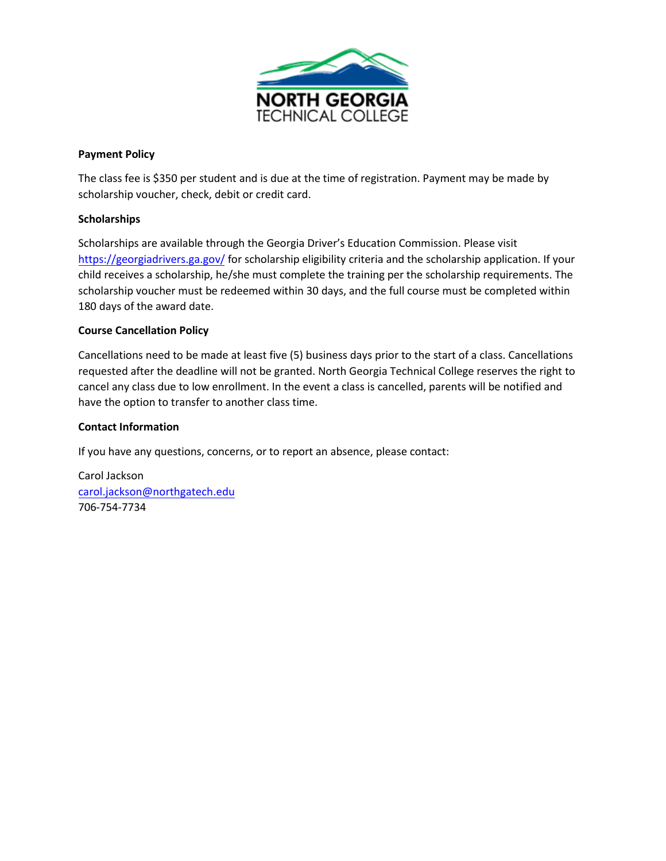

#### **Payment Policy**

The class fee is \$350 per student and is due at the time of registration. Payment may be made by scholarship voucher, check, debit or credit card.

#### **Scholarships**

Scholarships are available through the Georgia Driver's Education Commission. Please visit <https://georgiadrivers.ga.gov/> for scholarship eligibility criteria and the scholarship application. If your child receives a scholarship, he/she must complete the training per the scholarship requirements. The scholarship voucher must be redeemed within 30 days, and the full course must be completed within 180 days of the award date.

#### **Course Cancellation Policy**

Cancellations need to be made at least five (5) business days prior to the start of a class. Cancellations requested after the deadline will not be granted. North Georgia Technical College reserves the right to cancel any class due to low enrollment. In the event a class is cancelled, parents will be notified and have the option to transfer to another class time.

#### **Contact Information**

If you have any questions, concerns, or to report an absence, please contact:

Carol Jackson carol.jackson[@northgatech.edu](mailto:Jenrette.fowler@northgatech.edu) 706-754-7734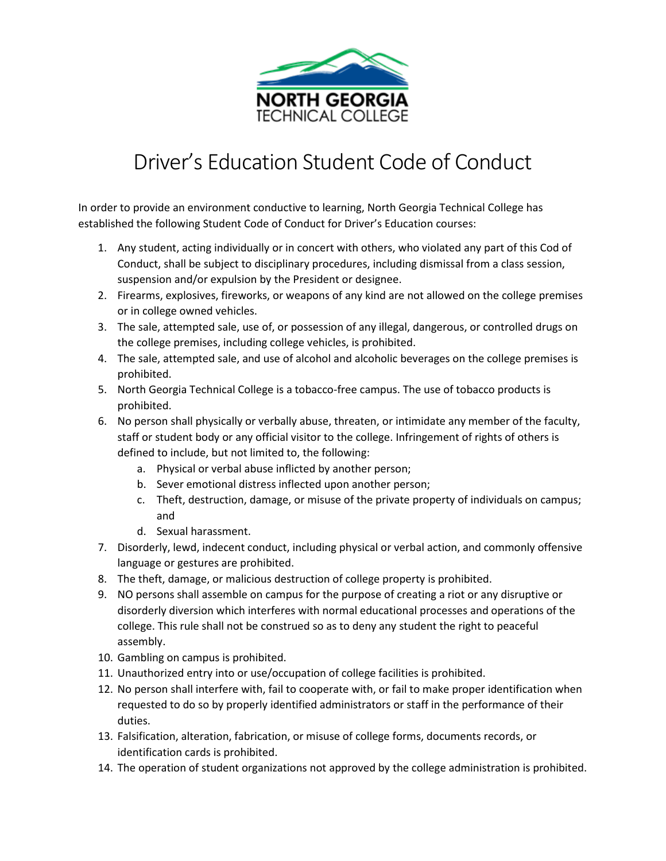

# Driver's Education Student Code of Conduct

In order to provide an environment conductive to learning, North Georgia Technical College has established the following Student Code of Conduct for Driver's Education courses:

- 1. Any student, acting individually or in concert with others, who violated any part of this Cod of Conduct, shall be subject to disciplinary procedures, including dismissal from a class session, suspension and/or expulsion by the President or designee.
- 2. Firearms, explosives, fireworks, or weapons of any kind are not allowed on the college premises or in college owned vehicles.
- 3. The sale, attempted sale, use of, or possession of any illegal, dangerous, or controlled drugs on the college premises, including college vehicles, is prohibited.
- 4. The sale, attempted sale, and use of alcohol and alcoholic beverages on the college premises is prohibited.
- 5. North Georgia Technical College is a tobacco-free campus. The use of tobacco products is prohibited.
- 6. No person shall physically or verbally abuse, threaten, or intimidate any member of the faculty, staff or student body or any official visitor to the college. Infringement of rights of others is defined to include, but not limited to, the following:
	- a. Physical or verbal abuse inflicted by another person;
	- b. Sever emotional distress inflected upon another person;
	- c. Theft, destruction, damage, or misuse of the private property of individuals on campus; and
	- d. Sexual harassment.
- 7. Disorderly, lewd, indecent conduct, including physical or verbal action, and commonly offensive language or gestures are prohibited.
- 8. The theft, damage, or malicious destruction of college property is prohibited.
- 9. NO persons shall assemble on campus for the purpose of creating a riot or any disruptive or disorderly diversion which interferes with normal educational processes and operations of the college. This rule shall not be construed so as to deny any student the right to peaceful assembly.
- 10. Gambling on campus is prohibited.
- 11. Unauthorized entry into or use/occupation of college facilities is prohibited.
- 12. No person shall interfere with, fail to cooperate with, or fail to make proper identification when requested to do so by properly identified administrators or staff in the performance of their duties.
- 13. Falsification, alteration, fabrication, or misuse of college forms, documents records, or identification cards is prohibited.
- 14. The operation of student organizations not approved by the college administration is prohibited.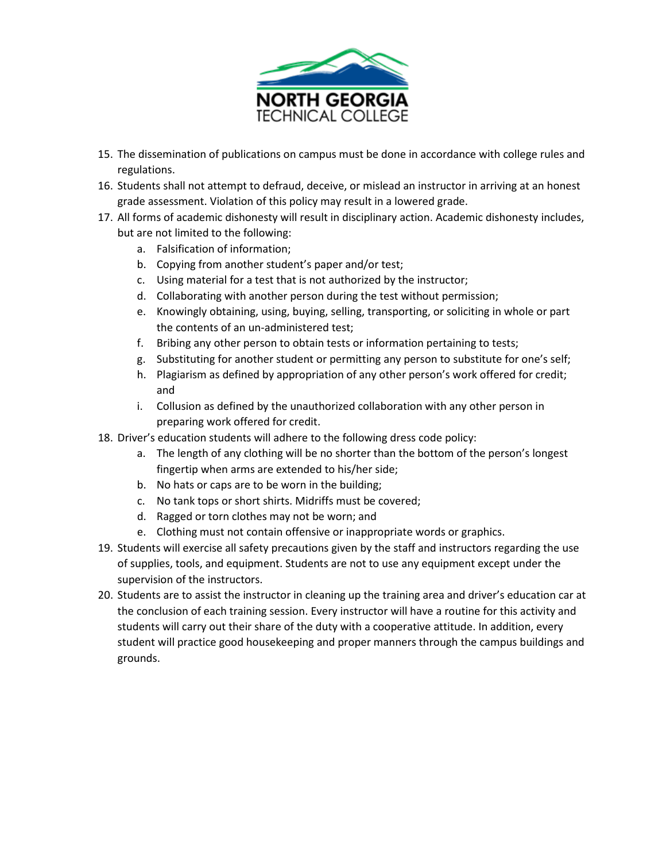

- 15. The dissemination of publications on campus must be done in accordance with college rules and regulations.
- 16. Students shall not attempt to defraud, deceive, or mislead an instructor in arriving at an honest grade assessment. Violation of this policy may result in a lowered grade.
- 17. All forms of academic dishonesty will result in disciplinary action. Academic dishonesty includes, but are not limited to the following:
	- a. Falsification of information;
	- b. Copying from another student's paper and/or test;
	- c. Using material for a test that is not authorized by the instructor;
	- d. Collaborating with another person during the test without permission;
	- e. Knowingly obtaining, using, buying, selling, transporting, or soliciting in whole or part the contents of an un-administered test;
	- f. Bribing any other person to obtain tests or information pertaining to tests;
	- g. Substituting for another student or permitting any person to substitute for one's self;
	- h. Plagiarism as defined by appropriation of any other person's work offered for credit; and
	- i. Collusion as defined by the unauthorized collaboration with any other person in preparing work offered for credit.
- 18. Driver's education students will adhere to the following dress code policy:
	- a. The length of any clothing will be no shorter than the bottom of the person's longest fingertip when arms are extended to his/her side;
	- b. No hats or caps are to be worn in the building;
	- c. No tank tops or short shirts. Midriffs must be covered;
	- d. Ragged or torn clothes may not be worn; and
	- e. Clothing must not contain offensive or inappropriate words or graphics.
- 19. Students will exercise all safety precautions given by the staff and instructors regarding the use of supplies, tools, and equipment. Students are not to use any equipment except under the supervision of the instructors.
- 20. Students are to assist the instructor in cleaning up the training area and driver's education car at the conclusion of each training session. Every instructor will have a routine for this activity and students will carry out their share of the duty with a cooperative attitude. In addition, every student will practice good housekeeping and proper manners through the campus buildings and grounds.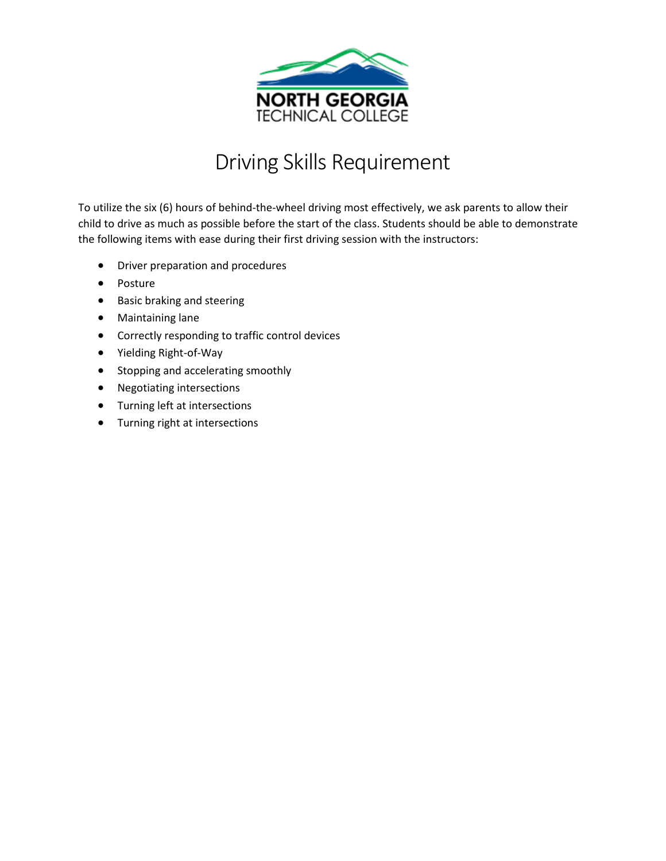

## Driving Skills Requirement

To utilize the six (6) hours of behind-the-wheel driving most effectively, we ask parents to allow their child to drive as much as possible before the start of the class. Students should be able to demonstrate the following items with ease during their first driving session with the instructors:

- Driver preparation and procedures
- Posture
- Basic braking and steering
- Maintaining lane
- Correctly responding to traffic control devices
- Yielding Right-of-Way
- Stopping and accelerating smoothly
- Negotiating intersections
- Turning left at intersections
- Turning right at intersections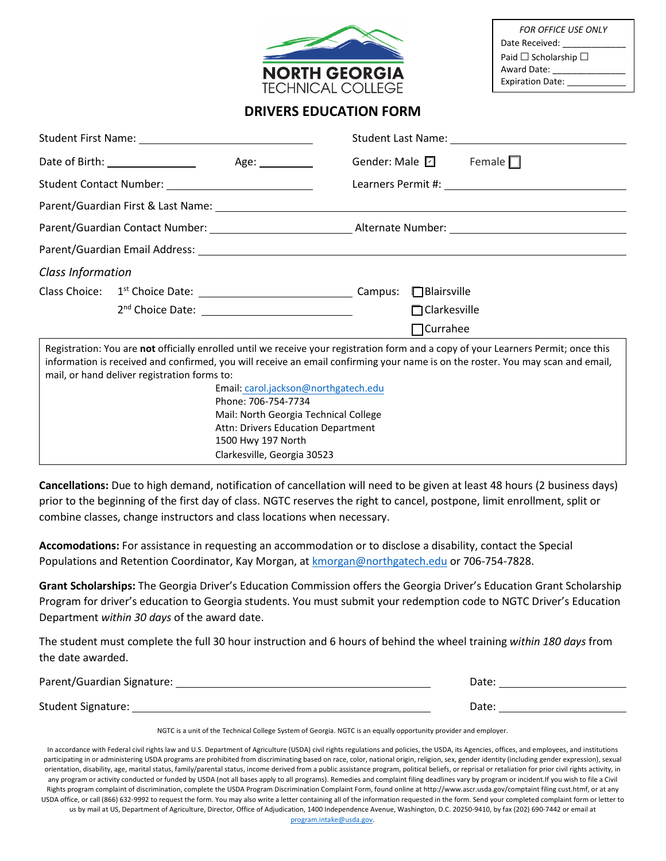

| <b>FOR OFFICE USE ONLY</b>     |
|--------------------------------|
| Date Received:                 |
| Paid $\Box$ Scholarship $\Box$ |
| Award Date:                    |
| <b>Expiration Date:</b>        |

### **DRIVERS EDUCATION FORM**

|                                                                                                                                                                                                                                                                                                                                                                                                                                                                                                                           | Gender: Male $\boxed{\phantom{a}}$ Female $\boxed{\phantom{a}}$ |  |
|---------------------------------------------------------------------------------------------------------------------------------------------------------------------------------------------------------------------------------------------------------------------------------------------------------------------------------------------------------------------------------------------------------------------------------------------------------------------------------------------------------------------------|-----------------------------------------------------------------|--|
| Student Contact Number: _____________________________                                                                                                                                                                                                                                                                                                                                                                                                                                                                     |                                                                 |  |
|                                                                                                                                                                                                                                                                                                                                                                                                                                                                                                                           |                                                                 |  |
|                                                                                                                                                                                                                                                                                                                                                                                                                                                                                                                           |                                                                 |  |
| Parent/Guardian Email Address: Law March 2014 19:30 19:30 19:30 19:30 19:30 19:30 19:30 19:30 19:30 19:30 19:3                                                                                                                                                                                                                                                                                                                                                                                                            |                                                                 |  |
| Class Information                                                                                                                                                                                                                                                                                                                                                                                                                                                                                                         |                                                                 |  |
|                                                                                                                                                                                                                                                                                                                                                                                                                                                                                                                           |                                                                 |  |
|                                                                                                                                                                                                                                                                                                                                                                                                                                                                                                                           | $\Box$ Clarkesville                                             |  |
|                                                                                                                                                                                                                                                                                                                                                                                                                                                                                                                           | $\Box$ Currahee                                                 |  |
| Registration: You are not officially enrolled until we receive your registration form and a copy of your Learners Permit; once this<br>information is received and confirmed, you will receive an email confirming your name is on the roster. You may scan and email,<br>mail, or hand deliver registration forms to:<br>Email: carol.jackson@northgatech.edu<br>Phone: 706-754-7734<br>Mail: North Georgia Technical College<br>Attn: Drivers Education Department<br>1500 Hwy 197 North<br>Clarkesville, Georgia 30523 |                                                                 |  |

**Cancellations:** Due to high demand, notification of cancellation will need to be given at least 48 hours (2 business days) prior to the beginning of the first day of class. NGTC reserves the right to cancel, postpone, limit enrollment, split or combine classes, change instructors and class locations when necessary.

**Accomodations:** For assistance in requesting an accommodation or to disclose a disability, contact the Special Populations and Retention Coordinator, Kay Morgan, at **kmorgan@northgatech.edu** or 706-754-7828.

**Grant Scholarships:** The Georgia Driver's Education Commission offers the Georgia Driver's Education Grant Scholarship Program for driver's education to Georgia students. You must submit your redemption code to NGTC Driver's Education Department *within 30 days* of the award date.

The student must complete the full 30 hour instruction and 6 hours of behind the wheel training *within 180 days* from the date awarded.

Parent/Guardian Signature: Date:

Student Signature: Date:

NGTC is a unit of the Technical College System of Georgia. NGTC is an equally opportunity provider and employer.

In accordance with Federal civil rights law and U.S. Department of Agriculture (USDA) civil rights regulations and policies, the USDA, its Agencies, offices, and employees, and institutions participating in or administering USDA programs are prohibited from discriminating based on race, color, national origin, religion, sex, gender identity (including gender expression), sexual orientation, disability, age, marital status, family/parental status, income derived from a public assistance program, political beliefs, or reprisal or retaliation for prior civil rights activity, in any program or activity conducted or funded by USDA (not all bases apply to all programs). Remedies and complaint filing deadlines vary by program or incident.If you wish to file a Civil Rights program complaint of discrimination, complete the USDA Program Discrimination Complaint Form, found online at http://www.ascr.usda.gov/comptaint filing cust.htmf, or at any USDA office, or call (866) 632-9992 to request the form. You may also write a letter containing all of the information requested in the form. Send your completed complaint form or letter to us by mail at US, Department of Agriculture, Director, Office of Adjudication, 1400 Independence Avenue, Washington, D.C. 20250-9410, by fax (202) 690-7442 or email at [program.intake@usda.gov.](mailto:program.intake@usda.gov)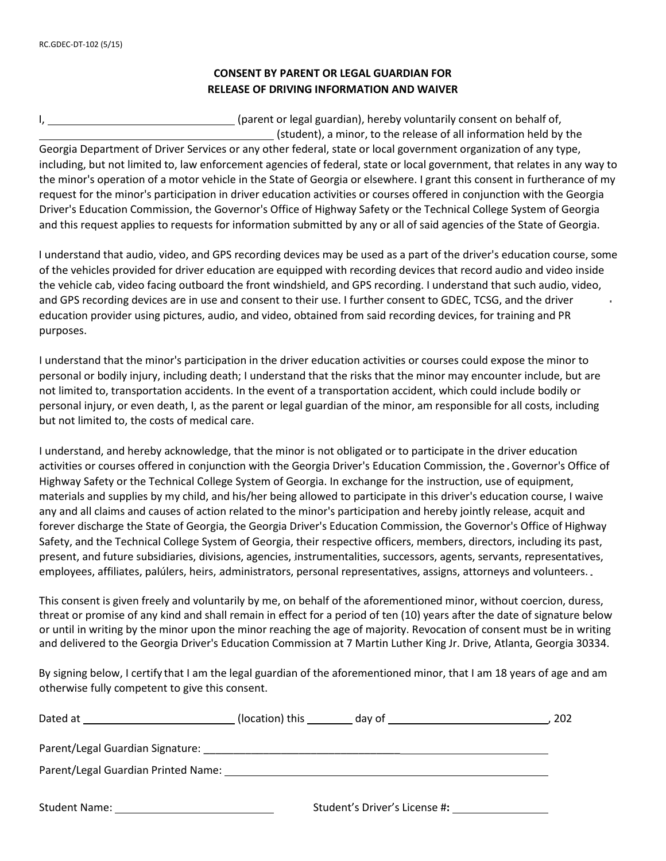#### **CONSENT BY PARENT OR LEGAL GUARDIAN FOR RELEASE OF DRIVING INFORMATION AND WAIVER**

| (parent or legal guardian), hereby voluntarily consent on behalf of, |
|----------------------------------------------------------------------|
| (student), a minor, to the release of all information held by the    |

Georgia Department of Driver Services or any other federal, state or local government organization of any type, including, but not limited to, law enforcement agencies of federal, state or local government, that relates in any way to the minor's operation of a motor vehicle in the State of Georgia or elsewhere. I grant this consent in furtherance of my request for the minor's participation in driver education activities or courses offered in conjunction with the Georgia Driver's Education Commission, the Governor's Office of Highway Safety or the Technical College System of Georgia and this request applies to requests for information submitted by any or all of said agencies of the State of Georgia.

I understand that audio, video, and GPS recording devices may be used as a part of the driver's education course, some of the vehicles provided for driver education are equipped with recording devices that record audio and video inside the vehicle cab, video facing outboard the front windshield, and GPS recording. I understand that such audio, video, and GPS recording devices are in use and consent to their use. I further consent to GDEC, TCSG, and the driver education provider using pictures, audio, and video, obtained from said recording devices, for training and PR purposes.

I understand that the minor's participation in the driver education activities or courses could expose the minor to personal or bodily injury, including death; I understand that the risks that the minor may encounter include, but are not limited to, transportation accidents. In the event of a transportation accident, which could include bodily or personal injury, or even death, I, as the parent or legal guardian of the minor, am responsible for all costs, including but not limited to, the costs of medical care.

I understand, and hereby acknowledge, that the minor is not obligated or to participate in the driver education activities or courses offered in conjunction with the Georgia Driver's Education Commission, the . Governor's Office of Highway Safety or the Technical College System of Georgia. In exchange for the instruction, use of equipment, materials and supplies by my child, and his/her being allowed to participate in this driver's education course, I waive any and all claims and causes of action related to the minor's participation and hereby jointly release, acquit and forever discharge the State of Georgia, the Georgia Driver's Education Commission, the Governor's Office of Highway Safety, and the Technical College System of Georgia, their respective officers, members, directors, including its past, present, and future subsidiaries, divisions, agencies, instrumentalities, successors, agents, servants, representatives, employees, affiliates, palúlers, heirs, administrators, personal representatives, assigns, attorneys and volunteers..

This consent is given freely and voluntarily by me, on behalf of the aforementioned minor, without coercion, duress, threat or promise of any kind and shall remain in effect for a period of ten (10) years after the date of signature below or until in writing by the minor upon the minor reaching the age of majority. Revocation of consent must be in writing and delivered to the Georgia Driver's Education Commission at 7 Martin Luther King Jr. Drive, Atlanta, Georgia 30334.

By signing below, I certify that I am the legal guardian of the aforementioned minor, that I am 18 years of age and am otherwise fully competent to give this consent.

| Dated at                            | (location) this | day of                        | 202 |
|-------------------------------------|-----------------|-------------------------------|-----|
| Parent/Legal Guardian Signature:    |                 |                               |     |
| Parent/Legal Guardian Printed Name: |                 |                               |     |
| Student Name:                       |                 | Student's Driver's License #: |     |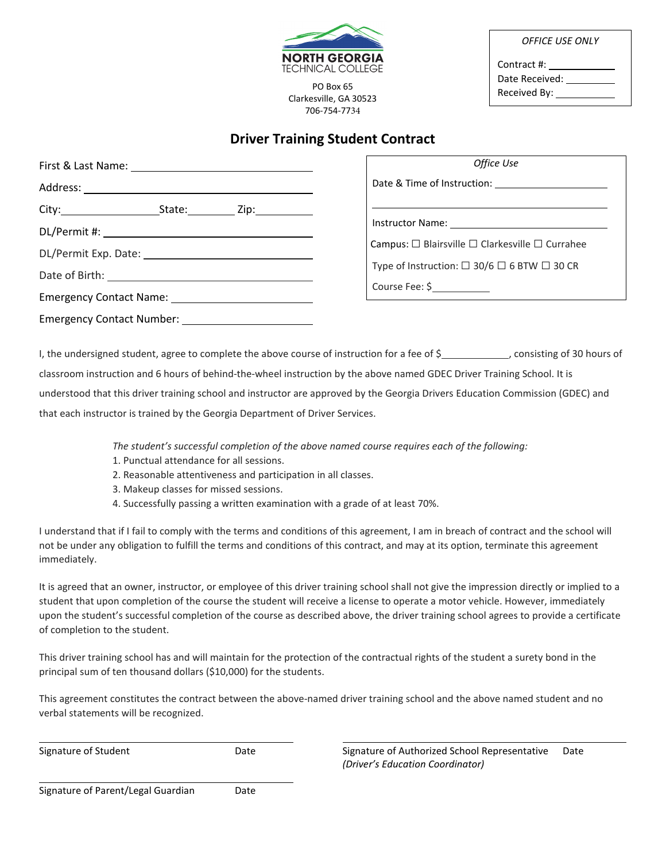| <b>NORTH GEORGIA</b>     |
|--------------------------|
| <b>TECHNICAL COLLEGE</b> |

PO Box 65<br>
"PO Box 65<br>
Received By: Clarkesville, GA 30523 706-754-7734

*OFFICE USE ONLY*

Contract #: Date Received:

### **Driver Training Student Contract**

|                                                                                                                 | Office Use                                                     |
|-----------------------------------------------------------------------------------------------------------------|----------------------------------------------------------------|
|                                                                                                                 |                                                                |
|                                                                                                                 |                                                                |
|                                                                                                                 |                                                                |
|                                                                                                                 | Campus: $\Box$ Blairsville $\Box$ Clarkesville $\Box$ Currahee |
|                                                                                                                 | Type of Instruction: $\Box$ 30/6 $\Box$ 6 BTW $\Box$ 30 CR     |
|                                                                                                                 |                                                                |
| Emergency Contact Name: 2008 2012 2022 2023 2024 2022 2023 2024 2022 2023 2024 2022 2023 2024 2022 2023 2024 20 | Course Fee: \$                                                 |
|                                                                                                                 |                                                                |

I, the undersigned student, agree to complete the above course of instruction for a fee of \$<br>
<sub>1</sub>, consisting of 30 hours of classroom instruction and 6 hours of behind-the-wheel instruction by the above named GDEC Driver Training School. It is understood that this driver training school and instructor are approved by the Georgia Drivers Education Commission (GDEC) and that each instructor is trained by the Georgia Department of Driver Services.

*The student's successful completion of the above named course requires each of the following:* 

- 1. Punctual attendance for all sessions.
- 2. Reasonable attentiveness and participation in all classes.
- 3. Makeup classes for missed sessions.
- 4. Successfully passing a written examination with a grade of at least 70%.

I understand that if I fail to comply with the terms and conditions of this agreement, I am in breach of contract and the school will not be under any obligation to fulfill the terms and conditions of this contract, and may at its option, terminate this agreement immediately.

It is agreed that an owner, instructor, or employee of this driver training school shall not give the impression directly or implied to a student that upon completion of the course the student will receive a license to operate a motor vehicle. However, immediately upon the student's successful completion of the course as described above, the driver training school agrees to provide a certificate of completion to the student.

This driver training school has and will maintain for the protection of the contractual rights of the student a surety bond in the principal sum of ten thousand dollars (\$10,000) for the students.

This agreement constitutes the contract between the above-named driver training school and the above named student and no verbal statements will be recognized.

Signature of Student The Student Controller Controller Controller Signature of Authorized School Representative Date *(Driver's Education Coordinator)* 

| Signature of Parent/Legal Guardian |  | Date |
|------------------------------------|--|------|
|------------------------------------|--|------|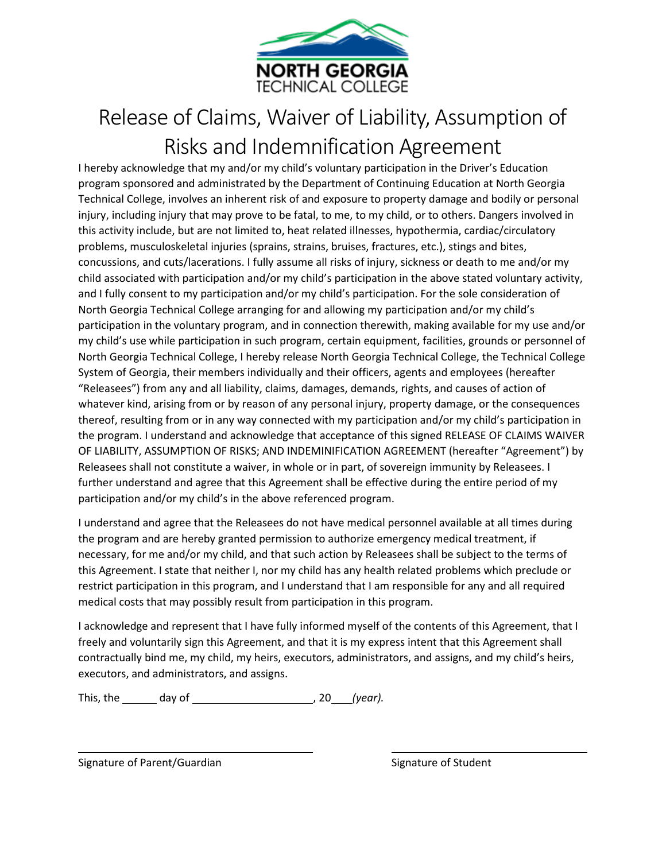

# Release of Claims, Waiver of Liability, Assumption of Risks and Indemnification Agreement

I hereby acknowledge that my and/or my child's voluntary participation in the Driver's Education program sponsored and administrated by the Department of Continuing Education at North Georgia Technical College, involves an inherent risk of and exposure to property damage and bodily or personal injury, including injury that may prove to be fatal, to me, to my child, or to others. Dangers involved in this activity include, but are not limited to, heat related illnesses, hypothermia, cardiac/circulatory problems, musculoskeletal injuries (sprains, strains, bruises, fractures, etc.), stings and bites, concussions, and cuts/lacerations. I fully assume all risks of injury, sickness or death to me and/or my child associated with participation and/or my child's participation in the above stated voluntary activity, and I fully consent to my participation and/or my child's participation. For the sole consideration of North Georgia Technical College arranging for and allowing my participation and/or my child's participation in the voluntary program, and in connection therewith, making available for my use and/or my child's use while participation in such program, certain equipment, facilities, grounds or personnel of North Georgia Technical College, I hereby release North Georgia Technical College, the Technical College System of Georgia, their members individually and their officers, agents and employees (hereafter "Releasees") from any and all liability, claims, damages, demands, rights, and causes of action of whatever kind, arising from or by reason of any personal injury, property damage, or the consequences thereof, resulting from or in any way connected with my participation and/or my child's participation in the program. I understand and acknowledge that acceptance of this signed RELEASE OF CLAIMS WAIVER OF LIABILITY, ASSUMPTION OF RISKS; AND INDEMINIFICATION AGREEMENT (hereafter "Agreement") by Releasees shall not constitute a waiver, in whole or in part, of sovereign immunity by Releasees. I further understand and agree that this Agreement shall be effective during the entire period of my participation and/or my child's in the above referenced program.

I understand and agree that the Releasees do not have medical personnel available at all times during the program and are hereby granted permission to authorize emergency medical treatment, if necessary, for me and/or my child, and that such action by Releasees shall be subject to the terms of this Agreement. I state that neither I, nor my child has any health related problems which preclude or restrict participation in this program, and I understand that I am responsible for any and all required medical costs that may possibly result from participation in this program.

I acknowledge and represent that I have fully informed myself of the contents of this Agreement, that I freely and voluntarily sign this Agreement, and that it is my express intent that this Agreement shall contractually bind me, my child, my heirs, executors, administrators, and assigns, and my child's heirs, executors, and administrators, and assigns.

This, the day of , 20 *(year).* 

Signature of Parent/Guardian Signature of Student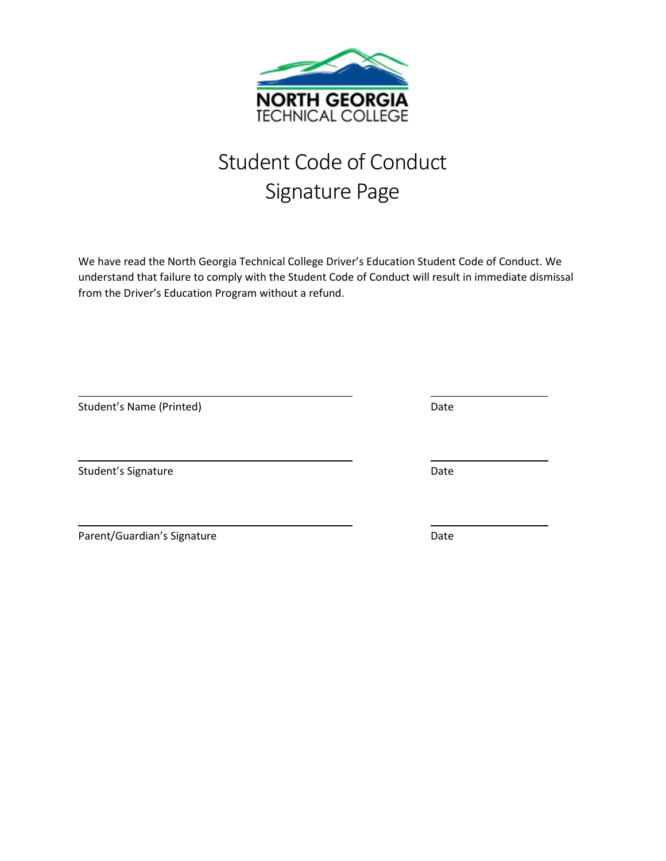

# Student Code of Conduct Signature Page

We have read the North Georgia Technical College Driver's Education Student Code of Conduct. We understand that failure to comply with the Student Code of Conduct will result in immediate dismissal from the Driver's Education Program without a refund.

| Student's Name (Printed)    | Date |
|-----------------------------|------|
|                             |      |
| Student's Signature         | Date |
|                             |      |
| Parent/Guardian's Signature | Date |